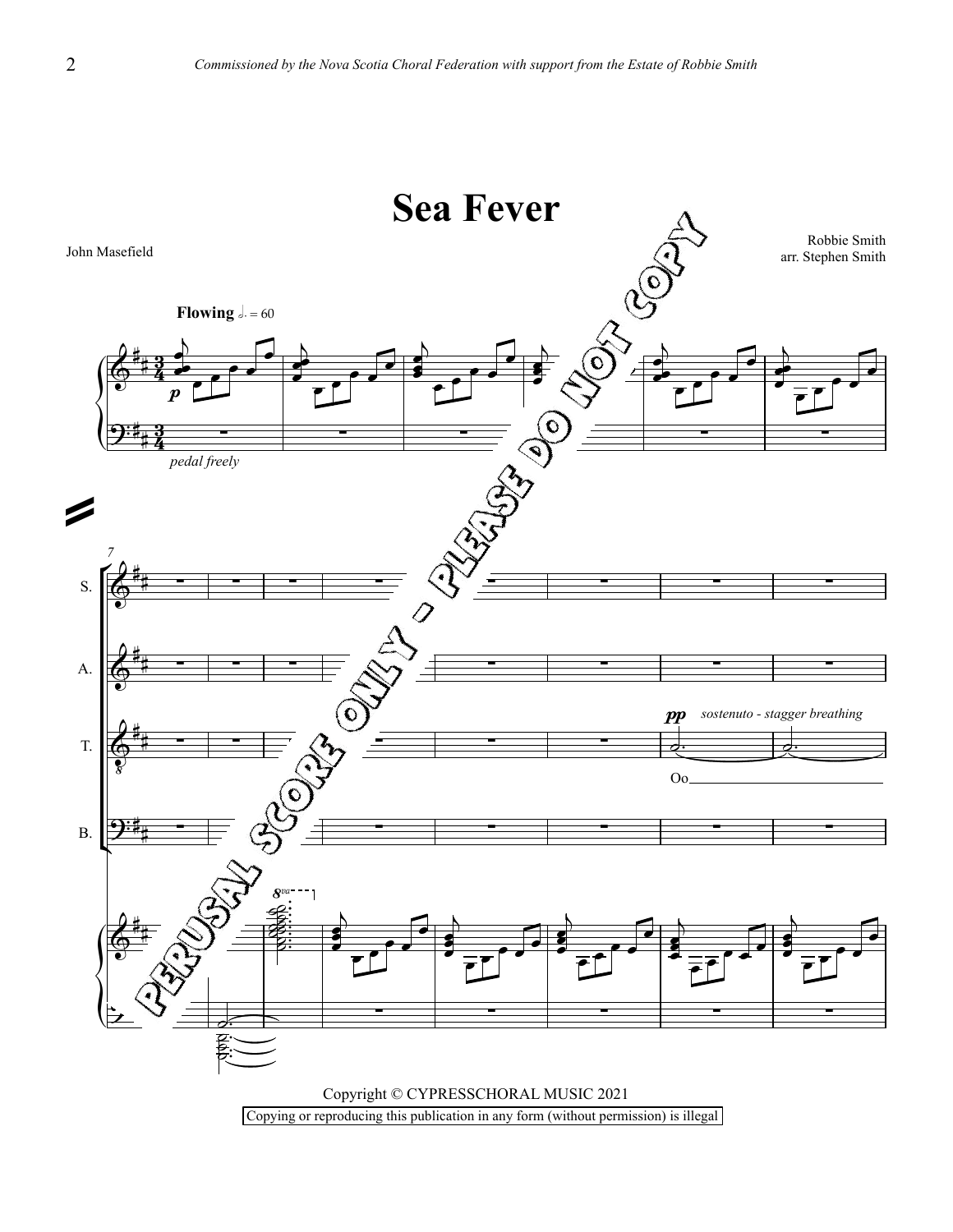

Copying or reproducing this publication in any form (without permission) is illegal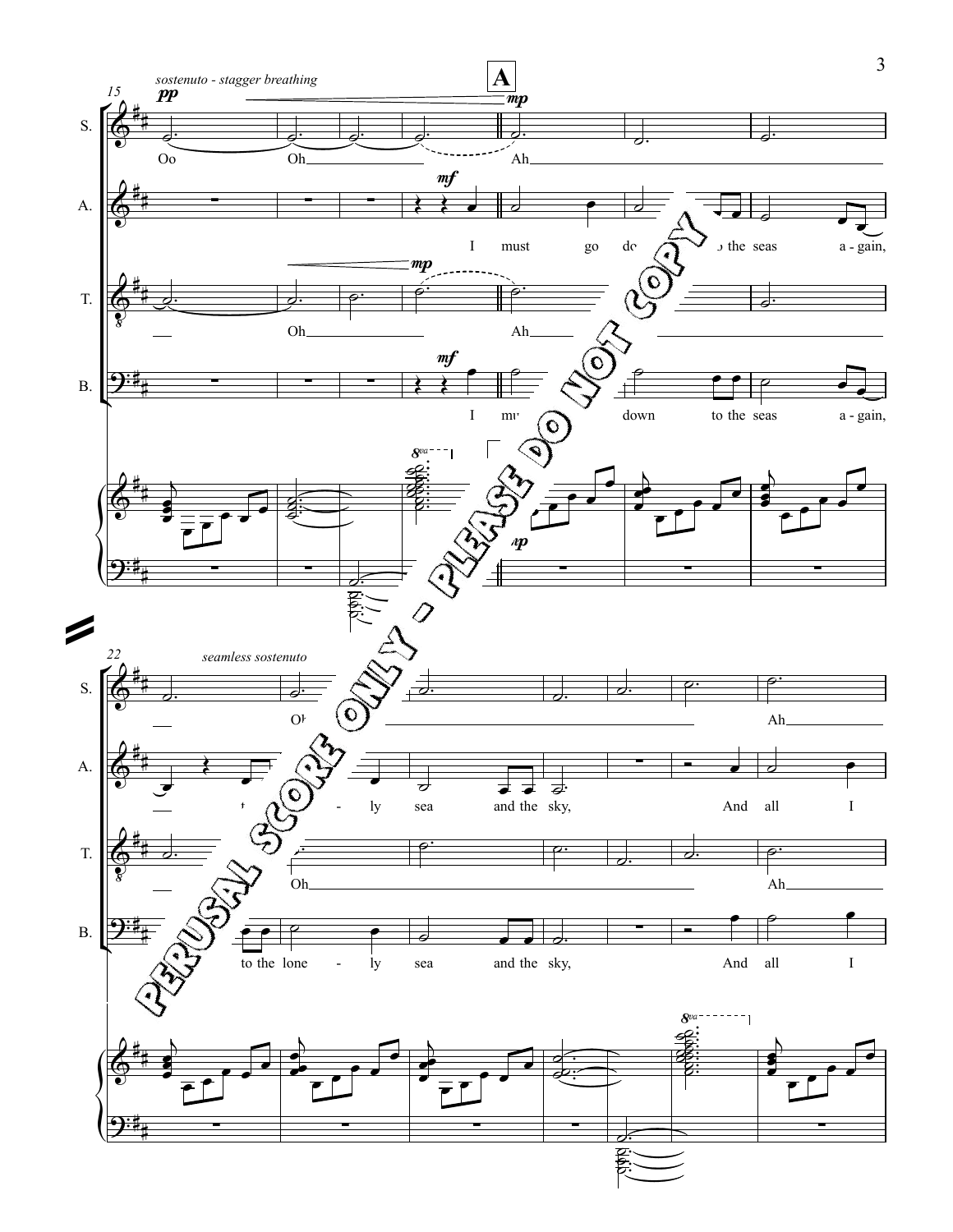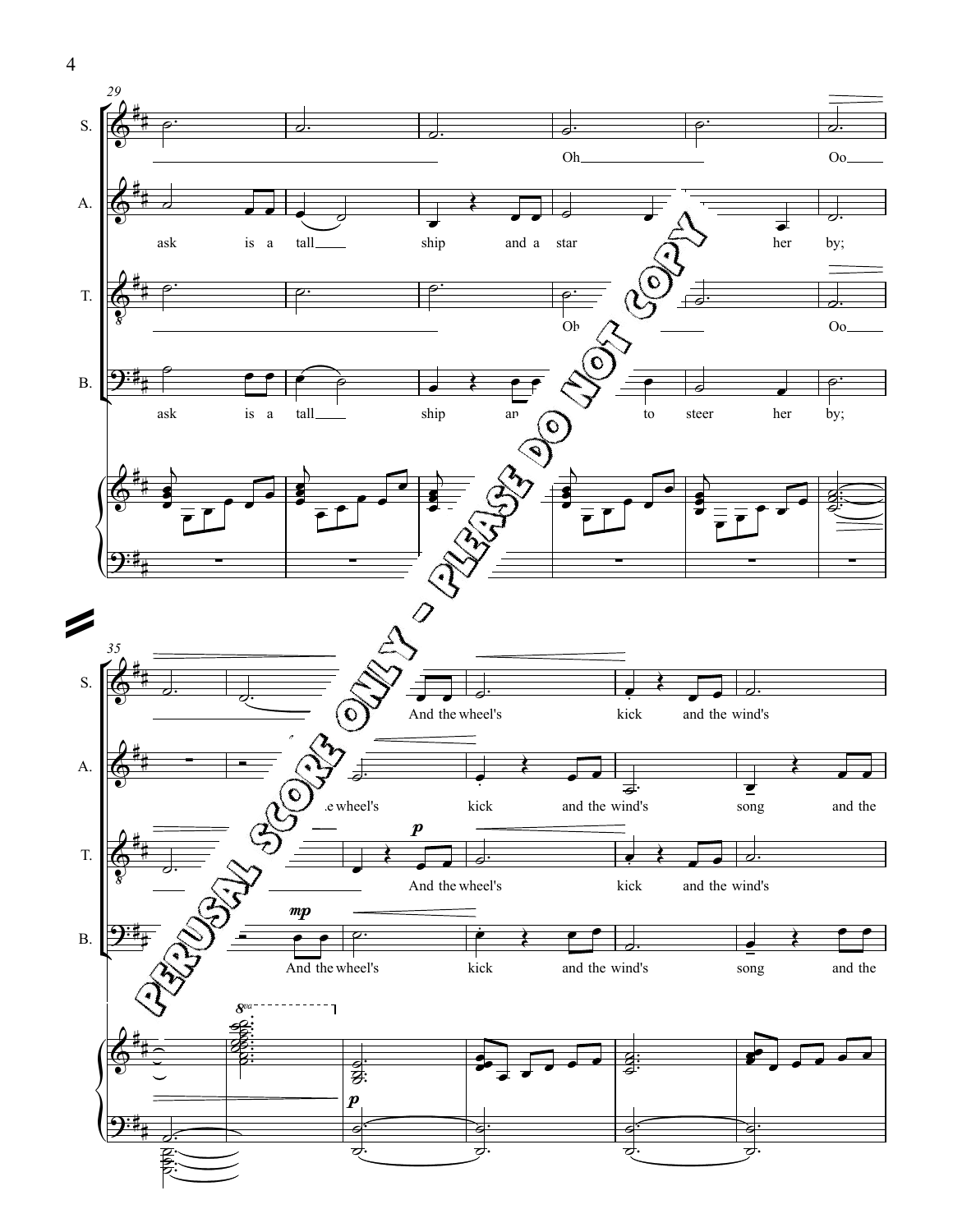![](_page_2_Figure_0.jpeg)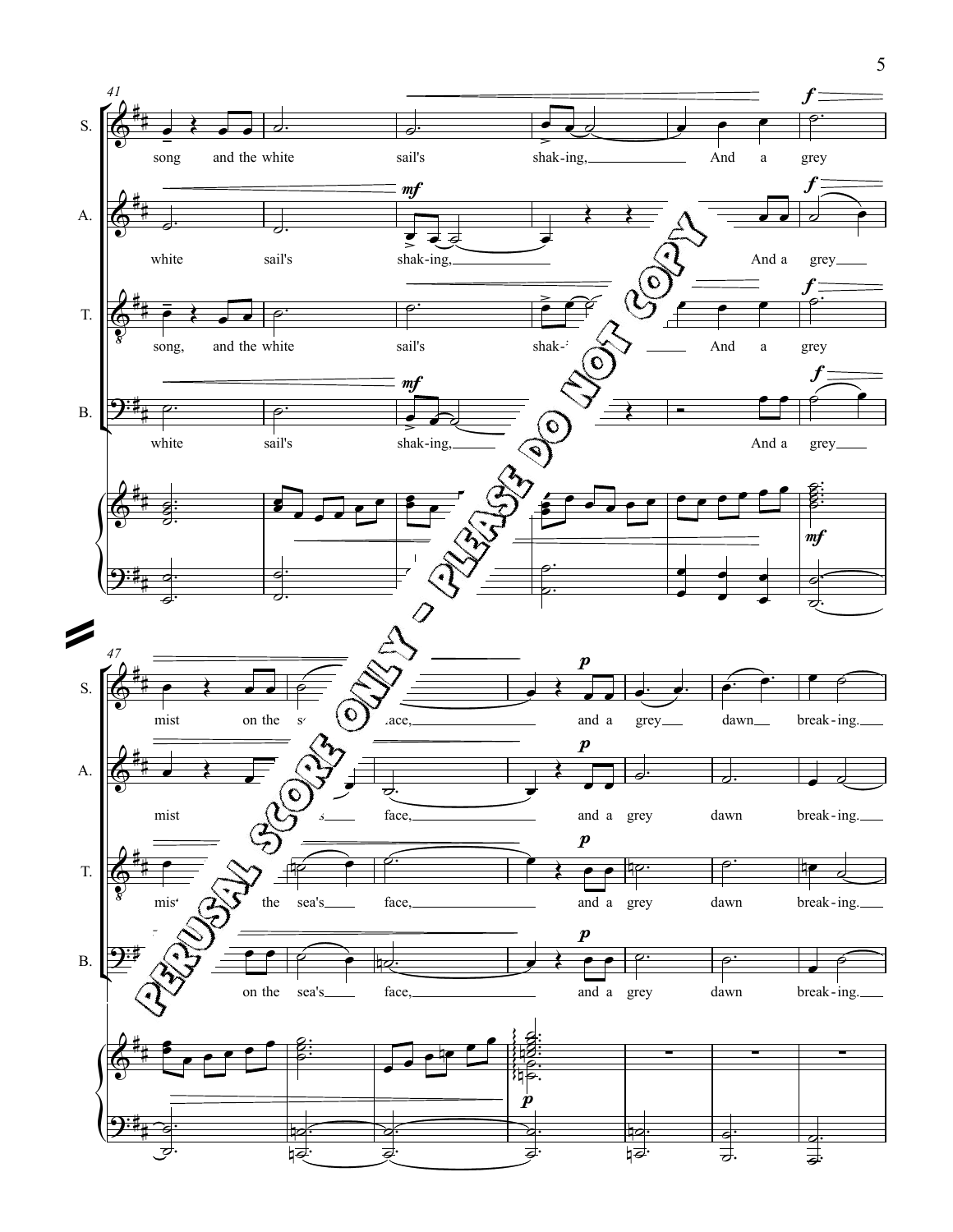![](_page_3_Figure_0.jpeg)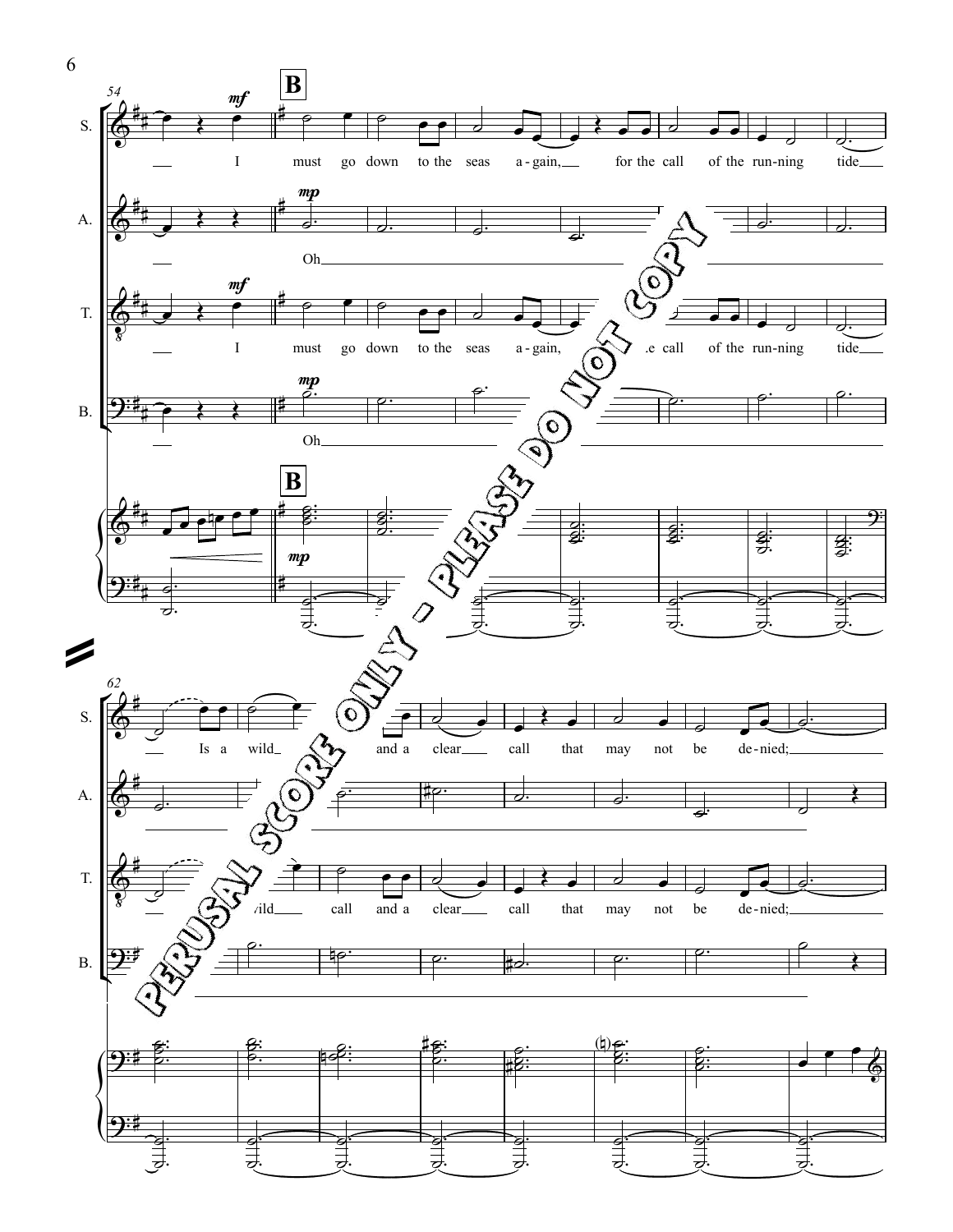![](_page_4_Figure_0.jpeg)

6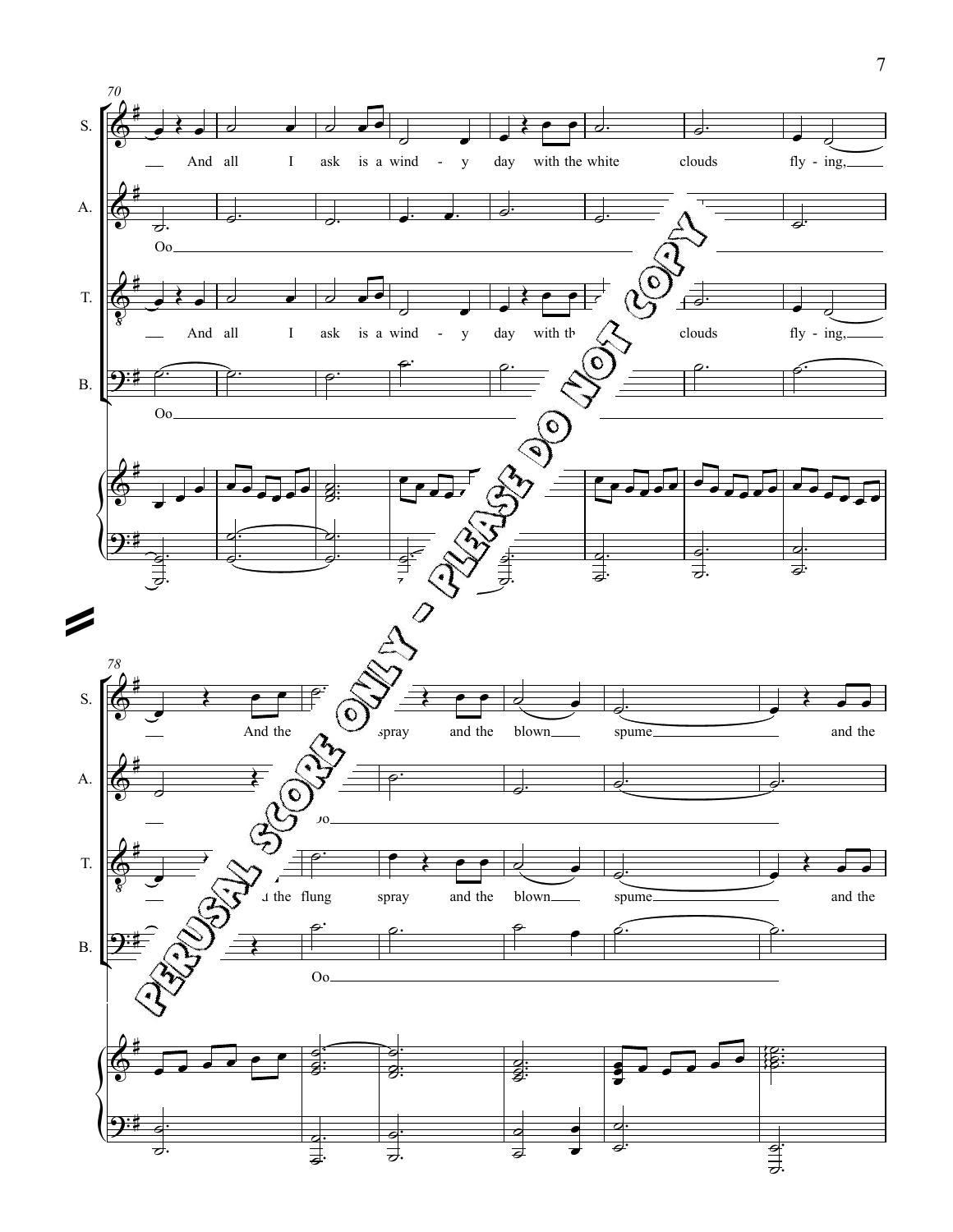![](_page_5_Figure_0.jpeg)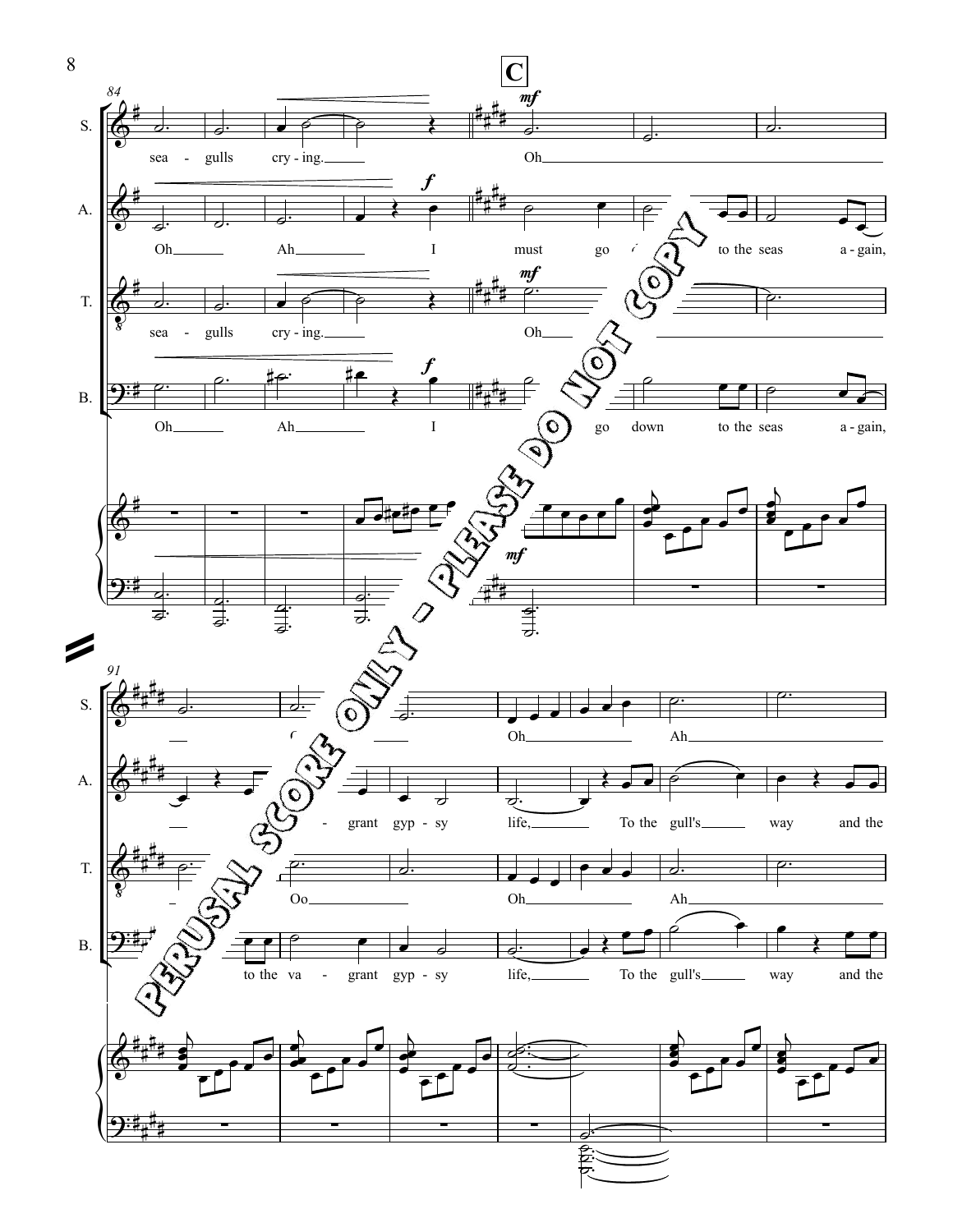![](_page_6_Figure_0.jpeg)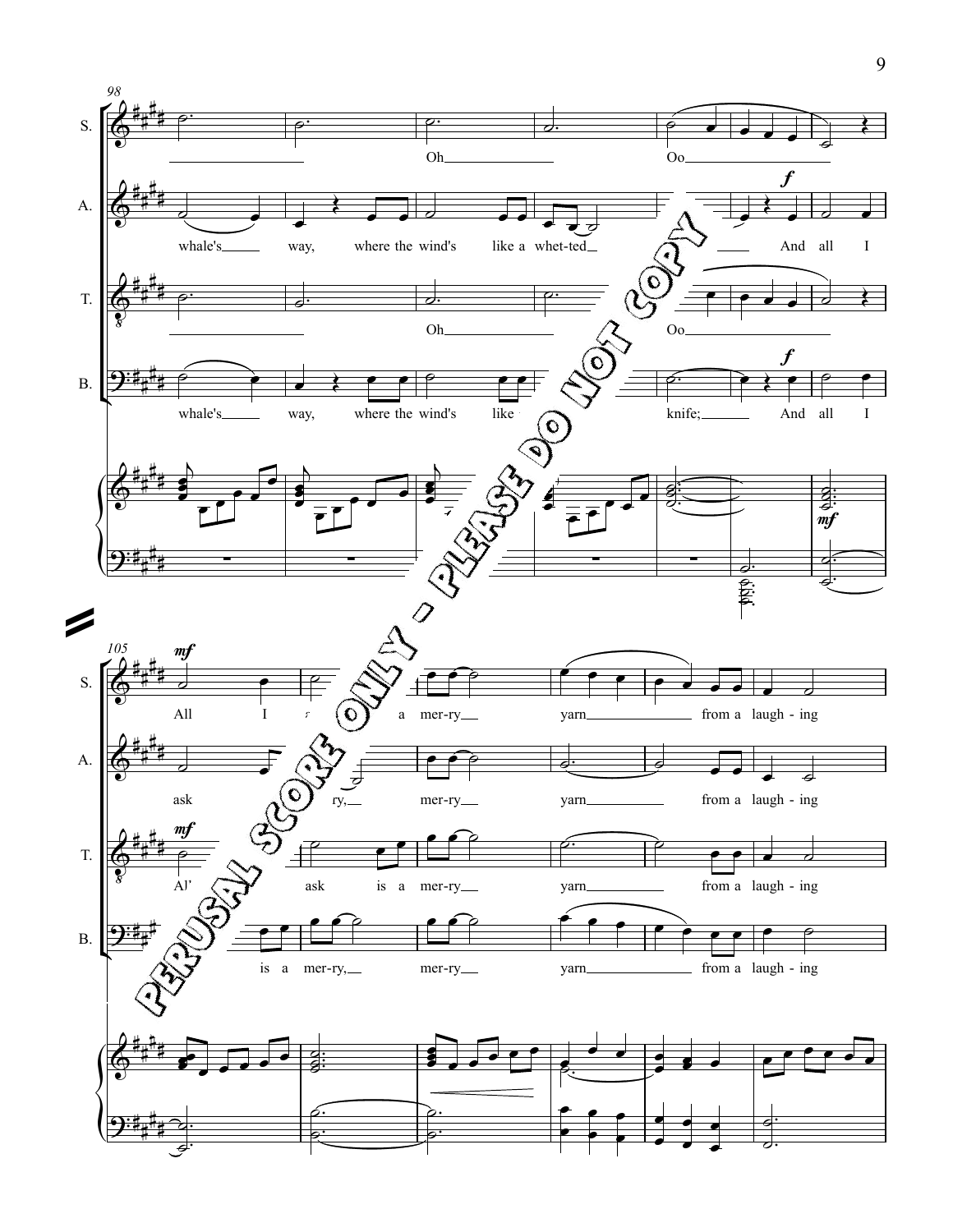![](_page_7_Figure_0.jpeg)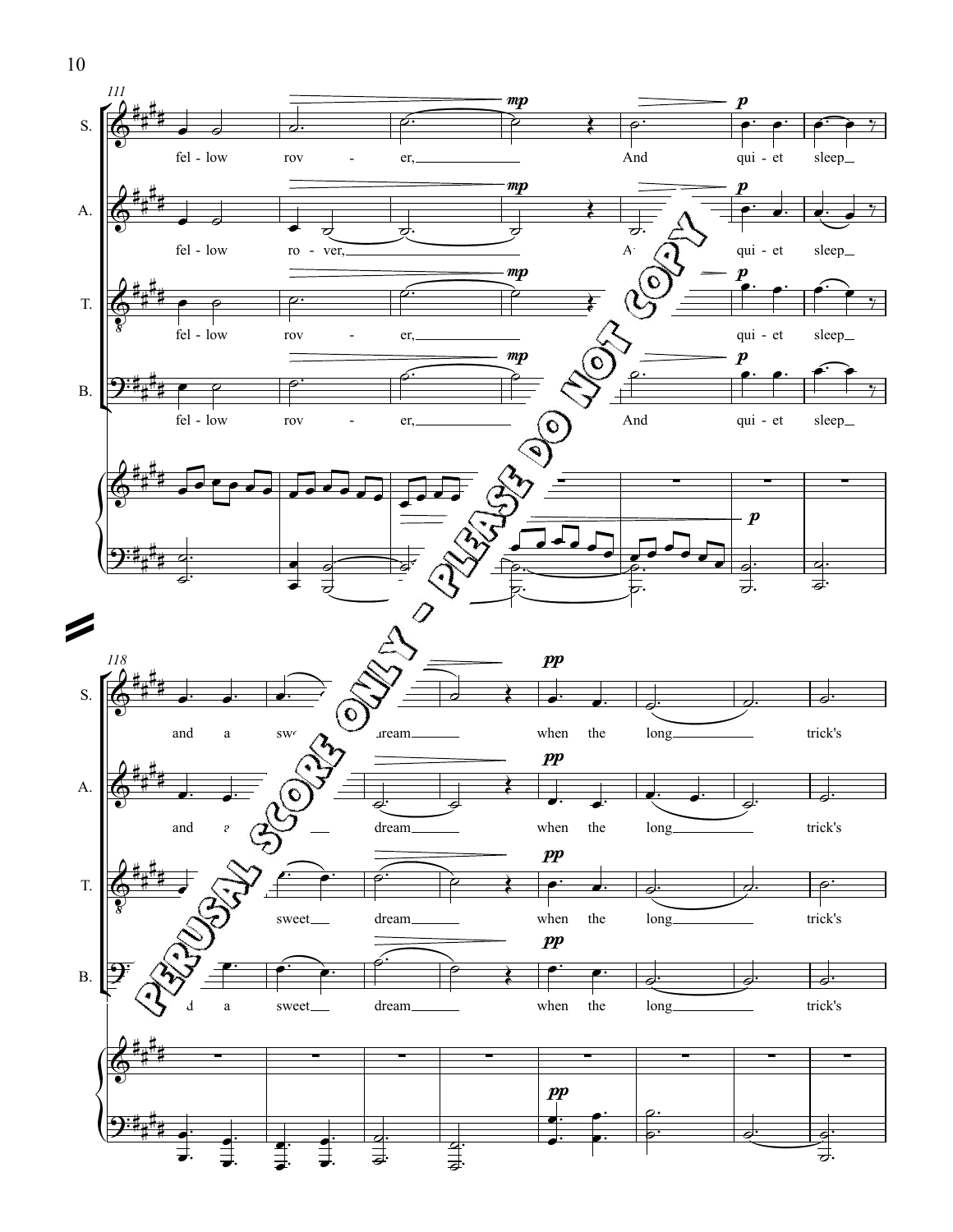![](_page_8_Figure_0.jpeg)